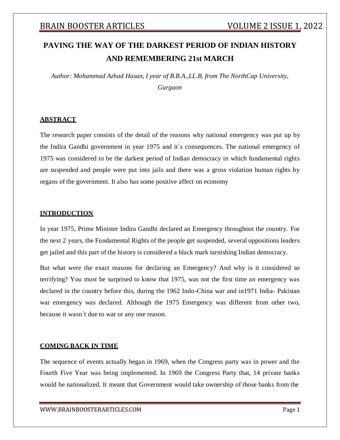# **PAVING THE WAY OF THE DARKEST PERIOD OF INDIAN HISTORY AND REMEMBERING 21st MARCH**

*Author: Mohammad Azhad Hasan, I year of B.B.A.,LL.B. from The NorthCap University, Gurgaon*

### **ABSTRACT**

The research paper consists of the detail of the reasons why national emergency was put up by the Indira Gandhi government in year 1975 and it`s consequences. The national emergency of 1975 was considered to be the darkest period of Indian democracy in which fundamental rights are suspended and people were put into jails and there was a gross violation human rights by organs of the government. It also has some positive affect on economy

### **INTRODUCTION**

In year 1975, Prime Minister Indira Gandhi declared an Emergency throughout the country. For the next 2 years, the Fundamental Rights of the people get suspended, several oppositions leaders get jailed and this part of the history is considered a black mark tarnishing Indian democracy.

But what were the exact reasons for declaring an Emergency? And why is it considered so terrifying? You must be surprised to know that 1975, was not the first time an emergency was declared in the country before this, during the 1962 Indo-China war and in1971 India- Pakistan war emergency was declared. Although the 1975 Emergency was different from other two, because it wasn`t due to war or any one reason.

### **COMING BACK IN TIME**

The sequence of events actually began in 1969, when the Congress party was in power and the Fourth Five Year was being implemented. In 1969 the Congress Party that, 14 private banks would be nationalized. It meant that Government would take ownership of those banks from the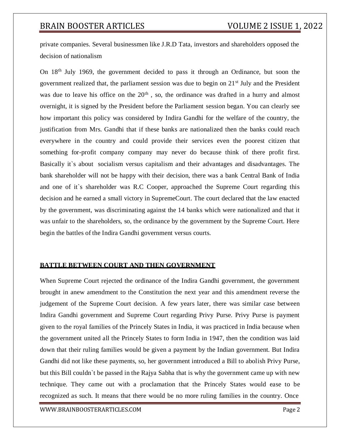private companies. Several businessmen like J.R.D Tata, investors and shareholders opposed the decision of nationalism

On 18th July 1969, the government decided to pass it through an Ordinance, but soon the government realized that, the parliament session was due to begin on 21st July and the President was due to leave his office on the  $20<sup>th</sup>$ , so, the ordinance was drafted in a hurry and almost overnight, it is signed by the President before the Parliament session began. You can clearly see how important this policy was considered by Indira Gandhi for the welfare of the country, the justification from Mrs. Gandhi that if these banks are nationalized then the banks could reach everywhere in the country and could provide their services even the poorest citizen that something for-profit company company may never do because think of there profit first. Basically it's about socialism versus capitalism and their advantages and disadvantages. The bank shareholder will not be happy with their decision, there was a bank Central Bank of India and one of it`s shareholder was R.C Cooper, approached the Supreme Court regarding this decision and he earned a small victory in SupremeCourt. The court declared that the law enacted by the government, was discriminating against the 14 banks which were nationalized and that it was unfair to the shareholders, so, the ordinance by the government by the Supreme Court. Here begin the battles of the Indira Gandhi government versus courts.

### **BATTLE BETWEEN COURT AND THEN GOVERNMENT**

When Supreme Court rejected the ordinance of the Indira Gandhi government, the government brought in anew amendment to the Constitution the next year and this amendment reverse the judgement of the Supreme Court decision. A few years later, there was similar case between Indira Gandhi government and Supreme Court regarding Privy Purse. Privy Purse is payment given to the royal families of the Princely States in India, it was practiced in India because when the government united all the Princely States to form India in 1947, then the condition was laid down that their ruling families would be given a payment by the Indian government. But Indira Gandhi did not like these payments, so, her government introduced a Bill to abolish Privy Purse, but this Bill couldn`t be passed in the Rajya Sabha that is why the government came up with new technique. They came out with a proclamation that the Princely States would ease to be recognized as such. It means that there would be no more ruling families in the country. Once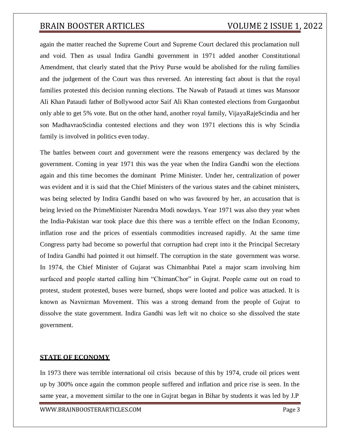again the matter reached the Supreme Court and Supreme Court declared this proclamation null and void. Then as usual Indira Gandhi government in 1971 added another Constitutional Amendment, that clearly stated that the Privy Purse would be abolished for the ruling families and the judgement of the Court was thus reversed. An interesting fact about is that the royal families protested this decision running elections. The Nawab of Pataudi at times was Mansoor Ali Khan Pataudi father of Bollywood actor Saif Ali Khan contested elections from Gurgaonbut only able to get 5% vote. But on the other hand, another royal family, VijayaRajeScindia and her son MadhavraoScindia contested elections and they won 1971 elections this is why Scindia family is involved in politics even today.

The battles between court and government were the reasons emergency was declared by the government. Coming in year 1971 this was the year when the Indira Gandhi won the elections again and this time becomes the dominant Prime Minister. Under her, centralization of power was evident and it is said that the Chief Ministers of the various states and the cabinet ministers, was being selected by Indira Gandhi based on who was favoured by her, an accusation that is being levied on the PrimeMinister Narendra Modi nowdays. Year 1971 was also they year when the India-Pakistan war took place due this there was a terrible effect on the Indian Economy, inflation rose and the prices of essentials commodities increased rapidly. At the same time Congress party had become so powerful that corruption had crept into it the Principal Secretary of Indira Gandhi had pointed it out himself. The corruption in the state government was worse. In 1974, the Chief Minister of Gujarat was Chimanbhai Patel a major scam involving him surfaced and people started calling him "ChimanChor" in Gujrat. People came out on road to protest, student protested, buses were burned, shops were looted and police was attacked. It is known as Navnirman Movement. This was a strong demand from the people of Gujrat to dissolve the state government. Indira Gandhi was left wit no choice so she dissolved the state government.

### **STATE OF ECONOMY**

In 1973 there was terrible international oil crisis because of this by 1974, crude oil prices went up by 300% once again the common people suffered and inflation and price rise is seen. In the same year, a movement similar to the one in Gujrat began in Bihar by students it was led by J.P

[WWW.BRAINBOOSTERARTICLES.COM](http://www.brainboosterarticles.com/) Page 3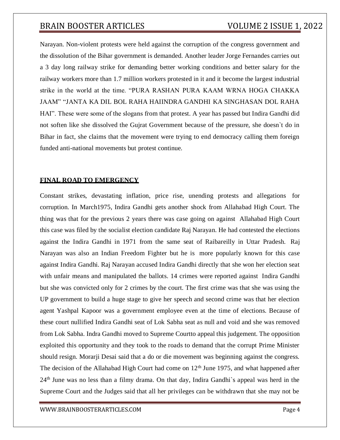Narayan. Non-violent protests were held against the corruption of the congress government and the dissolution of the Bihar government is demanded. Another leader Jorge Fernandes carries out a 3 day long railway strike for demanding better working conditions and better salary for the railway workers more than 1.7 million workers protested in it and it become the largest industrial strike in the world at the time. "PURA RASHAN PURA KAAM WRNA HOGA CHAKKA JAAM" "JANTA KA DIL BOL RAHA HAIINDRA GANDHI KA SINGHASAN DOL RAHA HAI". These were some of the slogans from that protest. A year has passed but Indira Gandhi did not soften like she dissolved the Gujrat Government because of the pressure, she doesn`t do in Bihar in fact, she claims that the movement were trying to end democracy calling them foreign funded anti-national movements but protest continue.

### **FINAL ROAD TO EMERGENCY**

Constant strikes, devastating inflation, price rise, unending protests and allegations for corruption. In March1975, Indira Gandhi gets another shock from Allahabad High Court. The thing was that for the previous 2 years there was case going on against Allahabad High Court this case was filed by the socialist election candidate Raj Narayan. He had contested the elections against the Indira Gandhi in 1971 from the same seat of Raibareilly in Uttar Pradesh. Raj Narayan was also an Indian Freedom Fighter but he is more popularly known for this case against Indira Gandhi. Raj Narayan accused Indira Gandhi directly that she won her election seat with unfair means and manipulated the ballots. 14 crimes were reported against Indira Gandhi but she was convicted only for 2 crimes by the court. The first crime was that she was using the UP government to build a huge stage to give her speech and second crime was that her election agent Yashpal Kapoor was a government employee even at the time of elections. Because of these court nullified Indira Gandhi seat of Lok Sabha seat as null and void and she was removed from Lok Sabha. Indra Gandhi moved to Supreme Courtto appeal this judgement. The opposition exploited this opportunity and they took to the roads to demand that the corrupt Prime Minister should resign. Morarji Desai said that a do or die movement was beginning against the congress. The decision of the Allahabad High Court had come on  $12<sup>th</sup>$  June 1975, and what happened after 24th June was no less than a filmy drama. On that day, Indira Gandhi`s appeal was herd in the Supreme Court and the Judges said that all her privileges can be withdrawn that she may not be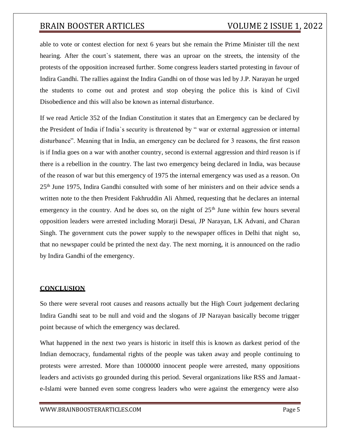able to vote or contest election for next 6 years but she remain the Prime Minister till the next hearing. After the court`s statement, there was an uproar on the streets, the intensity of the protests of the opposition increased further. Some congress leaders started protesting in favour of Indira Gandhi. The rallies against the Indira Gandhi on of those was led by J.P. Narayan he urged the students to come out and protest and stop obeying the police this is kind of Civil Disobedience and this will also be known as internal disturbance.

If we read Article 352 of the Indian Constitution it states that an Emergency can be declared by the President of India if India`s security is threatened by " war or external aggression or internal disturbance". Meaning that in India, an emergency can be declared for 3 reasons, the first reason is if India goes on a war with another country, second is external aggression and third reason is if there is a rebellion in the country. The last two emergency being declared in India, was because of the reason of war but this emergency of 1975 the internal emergency was used as a reason. On 25th June 1975, Indira Gandhi consulted with some of her ministers and on their advice sends a written note to the then President Fakhruddin Ali Ahmed, requesting that he declares an internal emergency in the country. And he does so, on the night of  $25<sup>th</sup>$  June within few hours several opposition leaders were arrested including Morarji Desai, JP Narayan, LK Advani, and Charan Singh. The government cuts the power supply to the newspaper offices in Delhi that night so, that no newspaper could be printed the next day. The next morning, it is announced on the radio by Indira Gandhi of the emergency.

### **CONCLUSION**

So there were several root causes and reasons actually but the High Court judgement declaring Indira Gandhi seat to be null and void and the slogans of JP Narayan basically become trigger point because of which the emergency was declared.

What happened in the next two years is historic in itself this is known as darkest period of the Indian democracy, fundamental rights of the people was taken away and people continuing to protests were arrested. More than 1000000 innocent people were arrested, many oppositions leaders and activists go grounded during this period. Several organizations like RSS and Jamaate-Islami were banned even some congress leaders who were against the emergency were also